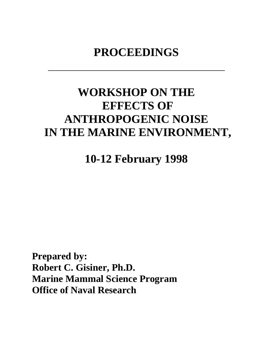## **PROCEEDINGS**

# **WORKSHOP ON THE EFFECTS OF ANTHROPOGENIC NOISE IN THE MARINE ENVIRONMENT,**

**10-12 February 1998**

**Prepared by: Robert C. Gisiner, Ph.D. Marine Mammal Science Program Office of Naval Research**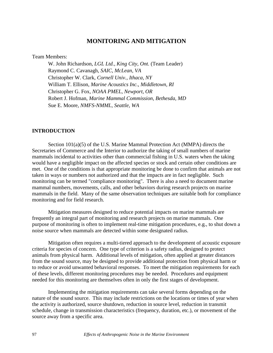## **MONITORING AND MITIGATION**

Team Members:

W. John Richardson, *LGL Ltd., King City, Ont.* (Team Leader) Raymond C. Cavanagh, *SAIC, McLean, VA* Christopher W. Clark, *Cornell Univ., Ithaca, NY* William T. Ellison, *Marine Acoustics Inc., Middletown, RI* Christopher G. Fox, *NOAA PMEL, Newport, OR* Robert J. Hofman, *Marine Mammal Commission, Bethesda, MD* Sue E. Moore, *NMFS-NMML, Seattle, WA*

## **INTRODUCTION**

Section 101(a)(5) of the U.S. Marine Mammal Protection Act (MMPA) directs the Secretaries of Commerce and the Interior to authorize the taking of small numbers of marine mammals incidental to activities other than commercial fishing in U.S. waters when the taking would have a negligible impact on the affected species or stock and certain other conditions are met. One of the conditions is that appropriate monitoring be done to confirm that animals are not taken in ways or numbers not authorized and that the impacts are in fact negligible. Such monitoring can be termed "compliance monitoring". There is also a need to document marine mammal numbers, movements, calls, and other behaviors during research projects on marine mammals in the field. Many of the same observation techniques are suitable both for compliance monitoring and for field research.

Mitigation measures designed to reduce potential impacts on marine mammals are frequently an integral part of monitoring and research projects on marine mammals. One purpose of monitoring is often to implement real-time mitigation procedures, e.g., to shut down a noise source when mammals are detected within some designated radius.

Mitigation often requires a multi-tiered approach to the development of acoustic exposure criteria for species of concern. One type of criterion is a safety radius, designed to protect animals from physical harm. Additional levels of mitigation, often applied at greater distances from the sound source, may be designed to provide additional protection from physical harm or to reduce or avoid unwanted behavioral responses. To meet the mitigation requirements for each of these levels, different monitoring procedures may be needed. Procedures and equipment needed for this monitoring are themselves often in only the first stages of development.

Implementing the mitigation requirements can take several forms depending on the nature of the sound source. This may include restrictions on the locations or times of year when the activity is authorized, source shutdown, reduction in source level, reduction in transmit schedule, change in transmission characteristics (frequency, duration, etc.), or movement of the source away from a specific area.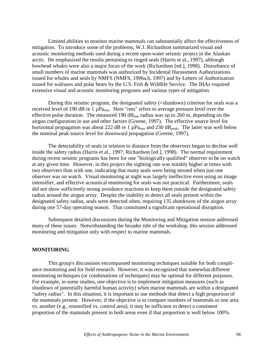Limited abilities to monitor marine mammals can substantially affect the effectiveness of mitigation. To introduce some of the problems, W.J. Richardson summarized visual and acoustic monitoring methods used during a recent open-water seismic project in the Alaskan arctic. He emphasized the results pertaining to ringed seals (Harris et al., 1997), although bowhead whales were also a major focus of the work (Richardson [ed.], 1998). Disturbance of small numbers of marine mammals was authorized by Incidental Harassment Authorizations issued for whales and seals by NMFS (NMFS, 1996a,b, 1997) and by Letters of Authorization issued for walruses and polar bears by the U.S. Fish & Wildlife Service. The IHAs required extensive visual and acoustic monitoring programs and various types of mitigation.

During this seismic program, the designated safety (=shutdown) criterion for seals was a received level of 190 dB re 1  $\mu$ Pa<sub>rms</sub>. Here "rms" refers to average pressure level over the effective pulse duration. The measured 190  $dB_{rms}$  radius was up to 260 m, depending on the airgun configuration in use and other factors (Greene, 1997). The effective source level for horizontal propagation was about 222 dB re 1  $\mu$ Pa<sub>rms</sub> and 230 dB<sub>peak</sub>. The latter was well below the nominal peak source level for downward propagation (Greene, 1997).

The detectability of seals in relation to distance from the observers began to decline well inside the safety radius (Harris et al., 1997; Richardson [ed.], 1998). The normal requirement during recent seismic programs has been for one "biologically qualified" observer to be on watch at any given time. However, in this project the sighting rate was notably higher at times with two observers than with one, indicating that many seals were being missed when just one observer was on watch. Visual monitoring at night was largely ineffective even using an image intensifier, and effective acoustical monitoring for seals was not practical. Furthermore, seals did not show sufficiently strong avoidance reactions to keep them outside the designated safety radius around the airgun array. Despite the inability to detect all seals present within the designated safety radius, seals were detected often, requiring 135 shutdowns of the airgun array during one 57-day operating season. That constituted a significant operational disruption.

Subsequent detailed discussions during the Monitoring and Mitigation session addressed many of these issues. Notwithstanding the broader title of the workshop, this session addressed monitoring and mitigation only with respect to marine mammals.

### **MONITORING**

This group's discussions encompassed monitoring techniques suitable for both compliance monitoring and for field research. However, it was recognized that somewhat different monitoring techniques (or combinations of techniques) may be optimal for different purposes. For example, in some studies, one objective is to implement mitigation measures (such as shutdown of potentially harmful human activity) when marine mammals are within a designated "safety radius". In this situation, it is important to use methods that detect a high proportion of the mammals present. However, if the objective is to compare numbers of mammals in one area vs. another (e.g., ensonified vs. control area), it may be sufficient to detect a consistent proportion of the mammals present in both areas even if that proportion is well below 100%.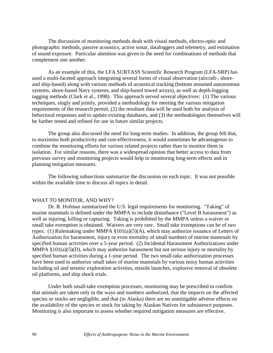The discussion of monitoring methods dealt with visual methods, electro-optic and photographic methods, passive acoustics, active sonar, dataloggers and telemetry, and estimation of sound exposure. Particular attention was given to the need for combinations of methods that complement one another.

As an example of this, the LFA SURTASS Scientific Research Program (LFA-SRP) has used a multi-faceted approach integrating several forms of visual observation (aircraft-, shoreand ship-based) along with various methods of acoustical tracking (bottom mounted autonomous systems, shore-based Navy systems, and ship-based towed arrays), as well as depth-logging tagging methods (Clark et al., 1998). This approach served several objectives: (1) The various techniques, singly and jointly, provided a methodology for meeting the various mitigation requirements of the research permit, (2) the resultant data will be used both for analysis of behavioral responses and to update existing databases, and (3) the methodologies themselves will be further tested and refined for use in future similar projects.

The group also discussed the need for long-term studies. In addition, the group felt that, to maximize both productivity and cost-effectiveness, it would sometimes be advantageous to combine the monitoring efforts for various related projects rather than to monitor them in isolation. For similar reasons, there was a widespread opinion that better access to data from previous survey and monitoring projects would help in monitoring long-term effects and in planning mitigation measures.

The following subsections summarize the discussion on each topic. It was not possible within the available time to discuss all topics in detail.

#### WHAT TO MONITOR, AND WHY?

Dr. R. Hofman summarized the U.S. legal requirements for monitoring. "Taking" of marine mammals is defined under the MMPA to include disturbance ("Level B harassment") as well as injuring, killing or capturing. Taking is prohibited by the MMPA unless a waiver or small take exemption is obtained. Waivers are very rare. Small take exemptions can be of two types: (1) Rulemaking under MMPA §101(a)(5)(A), which may authorize issuance of Letters of Authorization for harassment, injury or even mortality of small numbers of marine mammals by specified human activities over a 5-year period. (2) Incidental Harassment Authorizations under MMPA  $$101(a)(5)(D)$ , which may authorize harassment but not serious injury or mortality by specified human activities during a 1-year period. The two small-take authorization processes have been used to authorize small takes of marine mammals by various noisy human activities including oil and seismic exploration activities, missile launches, explosive removal of obsolete oil platforms, and ship shock trials.

Under both small-take exemption processes, monitoring may be prescribed to confirm that animals are taken only in the ways and numbers authorized, that the impacts on the affected species or stocks are negligible, and that (in Alaska) there are no unmitigable adverse effects on the availability of the species or stock for taking by Alaskan Natives for subsistence purposes. Monitoring is also important to assess whether required mitigation measures are effective.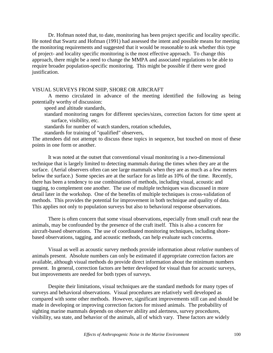Dr. Hofman noted that, to date, monitoring has been project specific and locality specific. He noted that Swartz and Hofman (1991) had assessed the intent and possible means for meeting the monitoring requirements and suggested that it would be reasonable to ask whether this type of project- and locality specific monitoring is the most effective approach. To change this approach, there might be a need to change the MMPA and associated regulations to be able to require broader population-specific monitoring. This might be possible if there were good justification.

#### VISUAL SURVEYS FROM SHIP, SHORE OR AIRCRAFT

A memo circulated in advance of the meeting identified the following as being potentially worthy of discussion:

speed and altitude standards,

 standard monitoring ranges for different species/sizes, correction factors for time spent at surface, visibility, etc.

standards for number of watch standers, rotation schedules,

standards for training of "qualified" observers,

The attendees did not attempt to discuss these topics in sequence, but touched on most of these points in one form or another.

It was noted at the outset that conventional visual monitoring is a two-dimensional technique that is largely limited to detecting mammals during the times when they are at the surface. (Aerial observers often can see large mammals when they are as much as a few meters below the surface.) Some species are at the surface for as little as 10% of the time. Recently, there has been a tendency to use combinations of methods, including visual, acoustic and tagging, to complement one another. The use of multiple techniques was discussed in more detail later in the workshop. One of the benefits of multiple techniques is cross-validation of methods. This provides the potential for improvement in both technique and quality of data. This applies not only to population surveys but also to behavioral response observations.

There is often concern that some visual observations, especially from small craft near the animals, may be confounded by the presence of the craft itself. This is also a concern for aircraft-based observations. The use of coordinated monitoring techniques, including shorebased observations, tagging, and acoustic methods, can help evaluate such concerns.

Visual as well as acoustic survey methods provide information about *relative* numbers of animals present. Absolute numbers can only be estimated if appropriate correction factors are available, although visual methods do provide direct information about the minimum numbers present. In general, correction factors are better developed for visual than for acoustic surveys, but improvements are needed for both types of surveys.

Despite their limitations, visual techniques are the standard methods for many types of surveys and behavioral observations. Visual procedures are relatively well developed as compared with some other methods. However, significant improvements still can and should be made in developing or improving correction factors for missed animals. The probability of sighting marine mammals depends on observer ability and alertness, survey procedures, visibility, sea state, and behavior of the animals, all of which vary. These factors are widely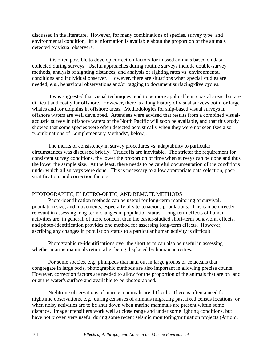discussed in the literature. However, for many combinations of species, survey type, and environmental condition, little information is available about the proportion of the animals detected by visual observers.

It is often possible to develop correction factors for missed animals based on data collected during surveys. Useful approaches during routine surveys include double-survey methods, analysis of sighting distances, and analysis of sighting rates vs. environmental conditions and individual observer. However, there are situations when special studies are needed, e.g., behavioral observations and/or tagging to document surfacing/dive cycles.

It was suggested that visual techniques tend to be more applicable in coastal areas, but are difficult and costly far offshore. However, there is a long history of visual surveys both for large whales and for dolphins in offshore areas. Methodologies for ship-based visual surveys in offshore waters are well developed. Attendees were advised that results from a combined visualacoustic survey in offshore waters of the North Pacific will soon be available, and that this study showed that some species were often detected acoustically when they were not seen (see also "Combinations of Complementary Methods", below).

The merits of consistency in survey procedures vs. adaptability to particular circumstances was discussed briefly. Tradeoffs are inevitable. The stricter the requirement for consistent survey conditions, the lower the proportion of time when surveys can be done and thus the lower the sample size. At the least, there needs to be careful documentation of the conditions under which all surveys were done. This is necessary to allow appropriate data selection, poststratification, and correction factors.

## PHOTOGRAPHIC, ELECTRO-OPTIC, AND REMOTE METHODS

Photo-identification methods can be useful for long-term monitoring of survival, population size, and movements, especially of site-tenacious populations. This can be directly relevant in assessing long-term changes in population status. Long-term effects of human activities are, in general, of more concern than the easier-studied short-term behavioral effects, and photo-identification provides one method for assessing long-term effects. However, ascribing any changes in population status to a particular human activity is difficult.

Photographic re-identifications over the short term can also be useful in assessing whether marine mammals return after being displaced by human activities.

For some species, e.g., pinnipeds that haul out in large groups or cetaceans that congregate in large pods, photographic methods are also important in allowing precise counts. However, correction factors are needed to allow for the proportion of the animals that are on land or at the water's surface and available to be photographed.

Nighttime observations of marine mammals are difficult. There is often a need for nighttime observations, e.g., during censuses of animals migrating past fixed census locations, or when noisy activities are to be shut down when marine mammals are present within some distance. Image intensifiers work well at close range and under some lighting conditions, but have not proven very useful during some recent seismic monitoring/mitigation projects (Arnold,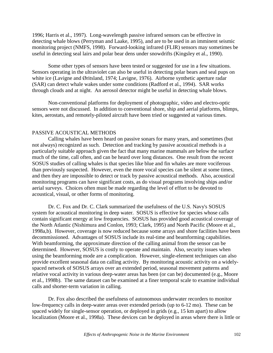1996; Harris et al., 1997). Long-wavelength passive infrared sensors can be effective in detecting whale blows (Perryman and Laake, 1995), and are to be used in an imminent seismic monitoring project (NMFS, 1998). Forward-looking infrared (FLIR) sensors may sometimes be useful in detecting seal lairs and polar bear dens under snowdrifts (Kingsley et al., 1990).

Some other types of sensors have been tested or suggested for use in a few situations. Sensors operating in the ultraviolet can also be useful in detecting polar bears and seal pups on white ice (Lavigne and Øritsland, 1974; Lavigne, 1976). Airborne synthetic aperture radar (SAR) can detect whale wakes under some conditions (Radford et al., 1994). SAR works through clouds and at night. An aerosol detector might be useful in detecting whale blows.

Non-conventional platforms for deployment of photographic, video and electro-optic sensors were not discussed. In addition to conventional shore, ship and aerial platforms, blimps, kites, aerostats, and remotely-piloted aircraft have been tried or suggested at various times.

## PASSIVE ACOUSTICAL METHODS

Calling whales have been heard on passive sonars for many years, and sometimes (but not always) recognized as such. Detection and tracking by passive acoustical methods is a particularly suitable approach given the fact that many marine mammals are below the surface much of the time, call often, and can be heard over long distances. One result from the recent SOSUS studies of calling whales is that species like blue and fin whales are more vociferous than previously suspected. However, even the more vocal species can be silent at some times, and then they are impossible to detect or track by passive acoustical methods. Also, acoustical monitoring programs can have significant costs, as do visual programs involving ships and/or aerial surveys. Choices often must be made regarding the level of effort to be devoted to acoustical, visual, or other forms of monitoring.

Dr. C. Fox and Dr. C. Clark summarized the usefulness of the U.S. Navy's SOSUS system for acoustical monitoring in deep water. SOSUS is effective for species whose calls contain significant energy at low frequencies. SOSUS has provided good acoustical coverage of the North Atlantic (Nishimura and Conlon, 1993; Clark, 1995) and North Pacific (Moore et al., 1998a,b). However, coverage is now reduced because some arrays and shore facilities have been decommissioned. Advantages of SOSUS include its real-time and beamforming capabilities. With beamforming, the approximate direction of the calling animal from the sensor can be determined. However, SOSUS is costly to operate and maintain. Also, security issues when using the beamforming mode are a complication. However, single-element techniques can also provide excellent seasonal data on calling activity. By monitoring acoustic activity on a widelyspaced network of SOSUS arrays over an extended period, seasonal movement patterns and relative vocal activity in various deep-water areas has been (or can be) documented (e.g., Moore et al., 1998b). The same dataset can be examined at a finer temporal scale to examine individual calls and shorter-term variation in calling.

Dr. Fox also described the usefulness of autonomous underwater recorders to monitor low-frequency calls in deep-water areas over extended periods (up to 6-12 mo). These can be spaced widely for single-sensor operation, or deployed in grids (e.g., 15 km apart) to allow localization (Moore et al., 1998a). These devices can be deployed in areas where there is little or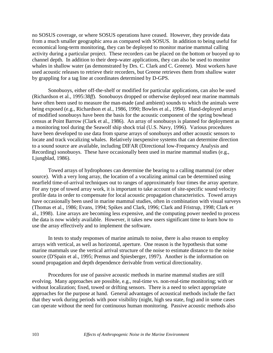no SOSUS coverage, or where SOSUS operations have ceased. However, they provide data from a much smaller geographic area as compared with SOSUS. In addition to being useful for economical long-term monitoring, they can be deployed to monitor marine mammal calling activity during a particular project. These recorders can be placed on the bottom or buoyed up to channel depth. In addition to their deep-water applications, they can also be used to monitor whales in shallow water (as demonstrated by Drs. C. Clark and C. Greene). Most workers have used acoustic releases to retrieve their recorders, but Greene retrieves them from shallow water by grappling for a tag line at coordinates determined by D-GPS.

Sonobuoys, either off-the-shelf or modified for particular applications, can also be used (Richardson et al., 1995:38*ff*). Sonobuoys dropped or otherwise deployed near marine mammals have often been used to measure the man-made (and ambient) sounds to which the animals were being exposed (e.g., Richardson et al., 1986, 1990; Bowles et al., 1994). Hand-deployed arrays of modified sonobuoys have been the basis for the acoustic component of the spring bowhead census at Point Barrow (Clark et al., 1986). An array of sonobuoys is planned for deployment as a monitoring tool during the Seawolf ship shock trial (U.S. Navy, 1996). Various procedures have been developed to use data from sparse arrays of sonobuoys and other acoustic sensors to locate and track vocalizing whales. Relatively inexpensive systems that can determine direction to a sound source are available, including DIFAR (Directional low-Frequency Analysis and Recording) sonobuoys. These have occasionally been used in marine mammal studies (e.g., Ljungblad, 1986).

Towed arrays of hydrophones can determine the bearing to a calling mammal (or other source). With a very long array, the location of a vocalizing animal can be determined using nearfield time-of-arrival techniques out to ranges of approximately four times the array aperture. For any type of towed array work, it is important to take account of site-specific sound velocity profile data in order to compensate for local acoustic propagation characteristics. Towed arrays have occasionally been used in marine mammal studies, often in combination with visual surveys (Thomas et al., 1986; Evans, 1994; Spikes and Clark, 1996; Clark and Fristrup, 1998; Clark et al., 1998). Line arrays are becoming less expensive, and the computing power needed to process the data is now widely available. However, it takes new users significant time to learn how to use the array effectively and to implement the software.

In tests to study responses of marine animals to noise, there is also reason to employ arrays with vertical, as well as horizontal, aperture. One reason is the hypothesis that some marine mammals use the vertical arrival structure of the noise to estimate distance to the noise source (D'Spain et al., 1995; Premus and Spiesberger, 1997). Another is the information on sound propagation and depth dependence derivable from vertical directionality.

Procedures for use of passive acoustic methods in marine mammal studies are still evolving. Many approaches are possible, e.g., real-time vs. non-real-time monitoring; with or without localization; fixed, towed or drifting sensors. There is a need to select appropriate approaches for the purpose at hand. General advantages of acoustical methods include the fact that they work during periods with poor visibility (night, high sea state, fog) and in some cases can operate without the need for continuous human monitoring. Passive acoustic methods also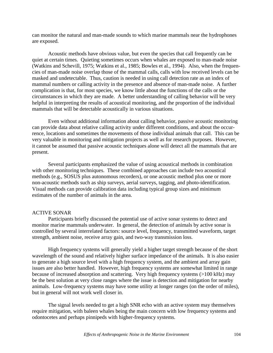can monitor the natural and man-made sounds to which marine mammals near the hydrophones are exposed.

Acoustic methods have obvious value, but even the species that call frequently can be quiet at certain times. Quieting sometimes occurs when whales are exposed to man-made noise (Watkins and Schevill, 1975; Watkins et al., 1985; Bowles et al., 1994). Also, when the frequencies of man-made noise overlap those of the mammal calls, calls with low received levels can be masked and undetectable. Thus, caution is needed in using call detection rate as an index of mammal numbers or calling activity in the presence and absence of man-made noise. A further complication is that, for most species, we know little about the functions of the calls or the circumstances in which they are made. A better understanding of calling behavior will be very helpful in interpreting the results of acoustical monitoring, and the proportion of the individual mammals that will be detectable acoustically in various situations.

Even without additional information about calling behavior, passive acoustic monitoring can provide data about relative calling activity under different conditions, and about the occurrence, locations and sometimes the movements of those individual animals that call. This can be very valuable in monitoring and mitigation projects as well as for research purposes. However, it cannot be assumed that passive acoustic techniques alone will detect all the mammals that are present.

Several participants emphasized the value of using acoustical methods in combination with other monitoring techniques. These combined approaches can include two acoustical methods (e.g., SOSUS plus autonomous recorders), or one acoustic method plus one or more non-acoustic methods such as ship surveys, aerial surveys, tagging, and photo-identification. Visual methods can provide calibration data including typical group sizes and minimum estimates of the number of animals in the area.

## ACTIVE SONAR

Participants briefly discussed the potential use of active sonar systems to detect and monitor marine mammals underwater. In general, the detection of animals by active sonar is controlled by several interrelated factors: source level, frequency, transmitted waveform, target strength, ambient noise, receive array gain, and two-way transmission loss.

High frequency systems will generally yield a higher target strength because of the short wavelength of the sound and relatively higher surface impedance of the animals. It is also easier to generate a high source level with a high frequency system, and the ambient and array gain issues are also better handled. However, high frequency systems are somewhat limited in range because of increased absorption and scattering. Very high frequency systems (>100 kHz) may be the best solution at very close ranges where the issue is detection and mitigation for nearby animals. Low-frequency systems may have some utility at longer ranges (on the order of miles), but in general will not work well closer in.

The signal levels needed to get a high SNR echo with an active system may themselves require mitigation, with baleen whales being the main concern with low frequency systems and odontocetes and perhaps pinnipeds with higher-frequency systems.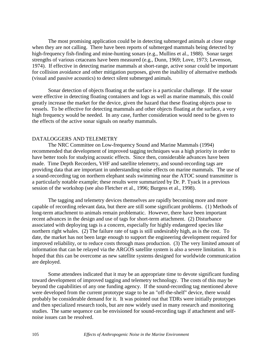The most promising application could be in detecting submerged animals at close range when they are not calling. There have been reports of submerged mammals being detected by high-frequency fish-finding and mine-hunting sonars (e.g., Mullins et al., 1988). Sonar target strengths of various cetaceans have been measured (e.g., Dunn, 1969; Love, 1973; Levenson, 1974). If effective in detecting marine mammals at short-range, active sonar could be important for collision avoidance and other mitigation purposes, given the inability of alternative methods (visual and passive acoustics) to detect silent submerged animals.

Sonar detection of objects floating at the surface is a particular challenge. If the sonar were effective in detecting floating containers and logs as well as marine mammals, this could greatly increase the market for the device, given the hazard that these floating objects pose to vessels. To be effective for detecting mammals and other objects floating at the surface, a very high frequency would be needed. In any case, further consideration would need to be given to the effects of the active sonar signals on nearby mammals.

### DATALOGGERS AND TELEMETRY

The NRC Committee on Low-frequency Sound and Marine Mammals (1994) recommended that development of improved tagging techniques was a high priority in order to have better tools for studying acoustic effects. Since then, considerable advances have been made. Time Depth Recorders, VHF and satellite telemetry, and sound-recording tags are providing data that are important in understanding noise effects on marine mammals. The use of a sound-recording tag on northern elephant seals swimming near the ATOC sound transmitter is a particularly notable example; these results were summarized by Dr. P. Tyack in a previous session of the workshop (see also Fletcher et al., 1996; Burgess et al., 1998).

The tagging and telemetry devices themselves are rapidly becoming more and more capable of recording relevant data, but there are still some significant problems. (1) Methods of long-term attachment to animals remain problematic. However, there have been important recent advances in the design and use of tags for short-term attachment. (2) Disturbance associated with deploying tags is a concern, especially for highly endangered species like northern right whales. (2) The failure rate of tags is still undesirably high, as is the cost. To date, the market has not been large enough to support the engineering development required for improved reliability, or to reduce costs through mass production. (3) The very limited amount of information that can be relayed via the ARGOS satellite system is also a severe limitation. It is hoped that this can be overcome as new satellite systems designed for worldwide communication are deployed.

Some attendees indicated that it may be an appropriate time to devote significant funding toward development of improved tagging and telemetry technology. The costs of this may be beyond the capabilities of any one funding agency. If the sound-recording tag mentioned above were developed from the current prototype stage to be an "off-the-shelf" device, there would probably be considerable demand for it. It was pointed out that TDRs were initially prototypes and then specialized research tools, but are now widely used in many research and monitoring studies. The same sequence can be envisioned for sound-recording tags if attachment and selfnoise issues can be resolved.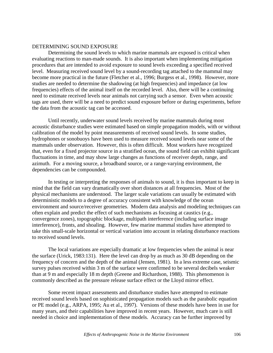## DETERMINING SOUND EXPOSURE

Determining the sound levels to which marine mammals are exposed is critical when evaluating reactions to man-made sounds. It is also important when implementing mitigation procedures that are intended to avoid exposure to sound levels exceeding a specified received level. Measuring received sound level by a sound-recording tag attached to the mammal may become more practical in the future (Fletcher et al., 1996; Burgess et al., 1998). However, more studies are needed to determine the shadowing (at high frequencies) and impedance (at low frequencies) effects of the animal itself on the recorded level. Also, there will be a continuing need to estimate received levels near animals not carrying such a sensor. Even when acoustic tags are used, there will be a need to predict sound exposure before or during experiments, before the data from the acoustic tag can be accessed.

Until recently, underwater sound levels received by marine mammals during most acoustic disturbance studies were estimated based on simple propagation models, with or without calibration of the model by point measurements of received sound levels. In some studies, hydrophones or sonobuoys have been used to measure received sound levels near some of the mammals under observation. However, this is often difficult. Most workers have recognized that, even for a fixed projector source in a stratified ocean, the sound field can exhibit significant fluctuations in time, and may show large changes as functions of receiver depth, range, and azimuth. For a moving source, a broadband source, or a range-varying environment, the dependencies can be compounded.

In testing or interpreting the responses of animals to sound, it is thus important to keep in mind that the field can vary dramatically over short distances at all frequencies. Most of the physical mechanisms are understood. The larger scale variations can usually be estimated with deterministic models to a degree of accuracy consistent with knowledge of the ocean environment and source/receiver geometries. Modern data analysis and modeling techniques can often explain and predict the effect of such mechanisms as focusing at caustics (e.g., convergence zones), topographic blockage, multipath interference (including surface image interference), fronts, and shoaling. However, few marine mammal studies have attempted to take this small-scale horizontal or vertical variation into account in relating disturbance reactions to received sound levels.

The local variations are especially dramatic at low frequencies when the animal is near the surface (Urick, 1983:131). Here the level can drop by as much as 30 dB depending on the frequency of concern and the depth of the animal (Jensen, 1981). In a less extreme case, seismic survey pulses received within 3 m of the surface were confirmed to be several decibels weaker than at 9 m and especially 18 m depth (Greene and Richardson, 1988). This phenomenon is commonly described as the pressure release surface effect or the Lloyd mirror effect.

Some recent impact assessments and disturbance studies have attempted to estimate received sound levels based on sophisticated propagation models such as the parabolic equation or PE model (e.g., ARPA, 1995; Au et al., 1997). Versions of these models have been in use for many years, and their capabilities have improved in recent years. However, much care is still needed in choice and implementation of these models. Accuracy can be further improved by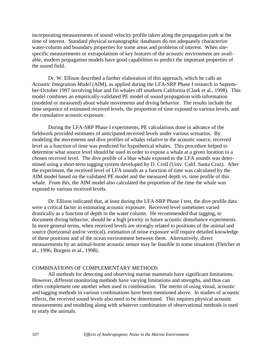incorporating measurements of sound velocity profile taken along the propagation path at the time of interest. Standard physical oceanographic databases do not adequately characterize water-column and boundary properties for some areas and problems of interest. When sitespecific measurements or extrapolations of key features of the acoustic environment are available, modern propagation models have good capabilities to predict the important properties of the sound field.

Dr. W. Ellison described a further elaboration of this approach, which he calls an *Acoustic Integration Model* (AIM), as applied during the LFA-SRP Phase I research in September-October 1997 involving blue and fin whales off southern California (Clark et al., 1998). This model combines an empirically-validated PE model of sound propagation with information (modeled or measured) about whale movements and diving behavior. The results include the time sequence of estimated received levels, the proportion of time exposed to various levels, and the cumulative acoustic exposure.

During the LFA-SRP Phase I experiments, PE calculations done in advance of the fieldwork provided estimates of anticipated received levels under various scenarios. By modeling the movements and dive profiles of whales relative to the acoustic source, received level as a function of time was predicted for hypothetical whales. This procedure helped to determine what source level should be used in order to expose a whale at a given location to a chosen received level. The dive profile of a blue whale exposed to the LFA sounds was determined using a short-term tagging system developed by D. Croll (Univ. Calif. Santa Cruz). After the experiment, the received level of LFA sounds as a function of time was calculated by the AIM model based on the validated PE model and the measured depth vs. time profile of this whale. From this, the AIM model also calculated the proportion of the time the whale was exposed to various received levels.

Dr. Ellison indicated that, at least during the LFA-SRP Phase I test, the dive profile data were a critical factor in estimating acoustic exposure. Received level sometimes varied drastically as a function of depth in the water column. He recommended that tagging, to document diving behavior, should be a high priority in future acoustic disturbance experiments. In more general terms, when received levels are strongly related to positions of the animal and source (horizontal and/or vertical), estimation of noise exposure will require detailed knowledge of these positions and of the ocean environment between them. Alternatively, direct measurements by an animal-borne acoustic sensor may be feasible in some situations (Fletcher et al., 1996; Burgess et al., 1998).

## COMBINATIONS OF COMPLEMENTARY METHODS

All methods for detecting and observing marine mammals have significant limitations. However, different monitoring methods have varying limitations and strengths, and thus can often complement one another when used in combination. The merits of using visual, acoustic and tagging methods in various combinations have been mentioned above. In studies of acoustic effects, the received sound levels also need to be determined. This requires physical acoustic measurements and modeling along with whatever combination of observational methods is used to study the animals.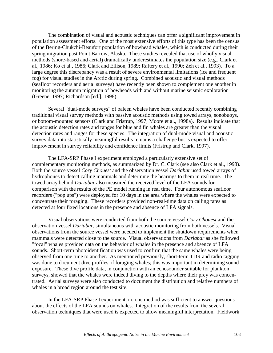The combination of visual and acoustic techniques can offer a significant improvement in population assessment efforts. One of the most extensive efforts of this type has been the census of the Bering-Chukchi-Beaufort population of bowhead whales, which is conducted during their spring migration past Point Barrow, Alaska. These studies revealed that use of wholly visual methods (shore-based and aerial) dramatically underestimates the population size (e.g., Clark et al., 1986; Ko et al., 1986; Clark and Ellison, 1989; Raftery et al., 1990; Zeh et al., 1993). To a large degree this discrepancy was a result of severe environmental limitations (ice and frequent fog) for visual studies in the Arctic during spring. Combined acoustic and visual methods (seafloor recorders and aerial surveys) have recently been shown to complement one another in monitoring the autumn migration of bowheads with and without marine seismic exploration (Greene, 1997; Richardson [ed.], 1998).

Several "dual-mode surveys" of baleen whales have been conducted recently combining traditional visual survey methods with passive acoustic methods using towed arrays, sonobuoys, or bottom-mounted sensors (Clark and Fristrup, 1997; Moore et al., 1998a). Results indicate that the acoustic detection rates and ranges for blue and fin whales are greater than the visual detection rates and ranges for these species. The integration of dual-mode visual and acoustic survey data into statistically meaningful results remains a challenge but is expected to offer improvement in survey reliability and confidence limits (Fristrup and Clark, 1997).

The LFA-SRP Phase I experiment employed a particularly extensive set of complementary monitoring methods, as summarized by Dr. C. Clark (see also Clark et al., 1998). Both the source vessel *Cory Chouest* and the observation vessel *Dariabar* used towed arrays of hydrophones to detect calling mammals and determine the bearings to them in real time. The towed array behind *Dariabar* also measured the received level of the LFA sounds for comparison with the results of the PE model running in real time. Four autonomous seafloor recorders ("pop ups") were deployed for 10 days in the area where the whales were expected to concentrate their foraging. These recorders provided non-real-time data on calling rates as detected at four fixed locations in the presence and absence of LFA signals.

Visual observations were conducted from both the source vessel *Cory Chouest* and the observation vessel *Dariabar*, simultaneous with acoustic monitoring from both vessels. Visual observations from the source vessel were needed to implement the shutdown requirements when mammals were detected close to the source. Visual observations from *Dariabar* as she followed "focal" whales provided data on the behavior of whales in the presence and absence of LFA sounds. Short-term photoidentification was used to confirm that the same whales were being observed from one time to another. As mentioned previously, short-term TDR and radio tagging was done to document dive profiles of foraging whales; this was important in determining sound exposure. These dive profile data, in conjunction with an echosounder suitable for plankton surveys, showed that the whales were indeed diving to the depths where their prey was concentrated. Aerial surveys were also conducted to document the distribution and relative numbers of whales in a broad region around the test site.

In the LFA-SRP Phase I experiment, no one method was sufficient to answer questions about the effects of the LFA sounds on whales. Integration of the results from the several observation techniques that were used is expected to allow meaningful interpretation. Fieldwork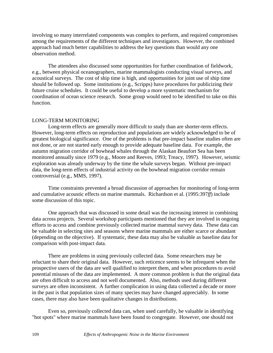involving so many interrelated components was complex to perform, and required compromises among the requirements of the different techniques and investigators. However, the combined approach had much better capabilities to address the key questions than would any one observation method.

The attendees also discussed some opportunities for further coordination of fieldwork, e.g., between physical oceanographers, marine mammalogists conducting visual surveys, and acoustical surveys. The cost of ship time is high, and opportunities for joint use of ship time should be followed up. Some institutions (e.g., Scripps) have procedures for publicizing their future cruise schedules. It could be useful to develop a more systematic mechanism for coordination of ocean science research. Some group would need to be identified to take on this function.

## LONG-TERM MONITORING

Long-term effects are generally more difficult to study than are shorter-term effects. However, long-term effects on reproduction and populations are widely acknowledged to be of greatest biological significance. One of the problems is that pre-impact baseline studies often are not done, or are not started early enough to provide adequate baseline data. For example, the autumn migration corridor of bowhead whales through the Alaskan Beaufort Sea has been monitored annually since 1979 (e.g., Moore and Reeves, 1993; Treacy, 1997). However, seismic exploration was already underway by the time the whale surveys began. Without pre-impact data, the long-term effects of industrial activity on the bowhead migration corridor remain controversial (e.g., MMS, 1997).

Time constraints prevented a broad discussion of approaches for monitoring of long-term and cumulative acoustic effects on marine mammals. Richardson et al. (1995:397*ff*) include some discussion of this topic.

One approach that was discussed in some detail was the increasing interest in combining data across projects. Several workshop participants mentioned that they are involved in ongoing efforts to access and combine previously collected marine mammal survey data. These data can be valuable in selecting sites and seasons where marine mammals are either scarce or abundant (depending on the objective). If systematic, these data may also be valuable as baseline data for comparison with post-impact data.

There are problems in using previously collected data. Some researchers may be reluctant to share their original data. However, such reticence seems to be infrequent when the prospective users of the data are well qualified to interpret them, and when procedures to avoid potential misuses of the data are implemented. A more common problem is that the original data are often difficult to access and not well documented. Also, methods used during different surveys are often inconsistent. A further complication in using data collected a decade or more in the past is that population sizes of many species may have changed appreciably. In some cases, there may also have been qualitative changes in distributions.

Even so, previously collected data can, when used carefully, be valuable in identifying "hot spots" where marine mammals have been found to congregate. However, one should not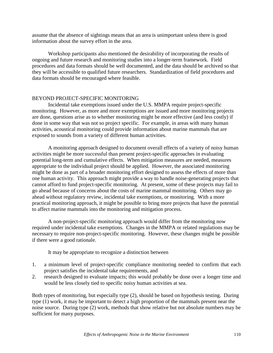assume that the absence of sightings means that an area is unimportant unless there is good information about the survey effort in the area.

Workshop participants also mentioned the desirability of incorporating the results of ongoing and future research and monitoring studies into a longer-term framework. Field procedures and data formats should be well documented, and the data should be archived so that they will be accessible to qualified future researchers. Standardization of field procedures and data formats should be encouraged where feasible.

## BEYOND PROJECT-SPECIFIC MONITORING

Incidental take exemptions issued under the U.S. MMPA require project-specific monitoring. However, as more and more exemptions are issued and more monitoring projects are done, questions arise as to whether monitoring might be more effective (and less costly) if done in some way that was not so project specific. For example, in areas with many human activities, acoustical monitoring could provide information about marine mammals that are exposed to sounds from a variety of different human activities.

A monitoring approach designed to document overall effects of a variety of noisy human activities might be more successful than present project-specific approaches in evaluating potential long-term and cumulative effects. When mitigation measures are needed, measures appropriate to the individual project should be applied. However, the associated monitoring might be done as part of a broader monitoring effort designed to assess the effects of more than one human activity. This approach might provide a way to handle noise-generating projects that cannot afford to fund project-specific monitoring. At present, some of these projects may fail to go ahead because of concerns about the costs of marine mammal monitoring. Others may go ahead without regulatory review, incidental take exemptions, or monitoring. With a more practical monitoring approach, it might be possible to bring more projects that have the potential to affect marine mammals into the monitoring and mitigation process.

A non-project-specific monitoring approach would differ from the monitoring now required under incidental take exemptions. Changes in the MMPA or related regulations may be necessary to require non-project-specific monitoring. However, these changes might be possible if there were a good rationale.

It may be appropriate to recognize a distinction between

- 1. a minimum level of project-specific compliance monitoring needed to confirm that each project satisfies the incidental take requirements, and
- 2. research designed to evaluate impacts; this would probably be done over a longer time and would be less closely tied to specific noisy human activities at sea.

Both types of monitoring, but especially type (2), should be based on hypothesis testing. During type (1) work, it may be important to detect a high proportion of the mammals present near the noise source. During type (2) work, methods that show relative but not absolute numbers may be sufficient for many purposes.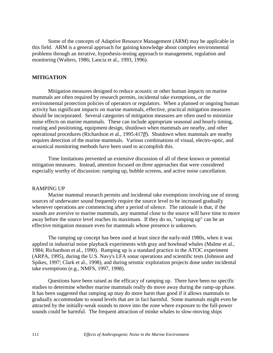Some of the concepts of Adaptive Resource Management (ARM) may be applicable in this field. ARM is a general approach for gaining knowledge about complex environmental problems through an iterative, hypothesis-testing approach to management, regulation and monitoring (Walters, 1986; Lancia et al., 1993, 1996).

## **MITIGATION**

Mitigation measures designed to reduce acoustic or other human impacts on marine mammals are often required by research permits, incidental take exemptions, or the environmental protection policies of operators or regulators. When a planned or ongoing human activity has significant impacts on marine mammals, effective, practical mitigation measures should be incorporated. Several categories of mitigation measures are often used to minimize noise effects on marine mammals. These can include appropriate seasonal and hourly timing, routing and positioning, equipment design, shutdown when mammals are nearby, and other operational procedures (Richardson et al., 1995:417*ff*). Shutdown when mammals are nearby requires detection of the marine mammals. Various combinations of visual, electro-optic, and acoustical monitoring methods have been used to accomplish this.

Time limitations prevented an extensive discussion of all of these known or potential mitigation measures. Instead, attention focused on three approaches that were considered especially worthy of discussion: ramping up, bubble screens, and active noise cancellation.

### RAMPING UP

Marine mammal research permits and incidental take exemptions involving use of strong sources of underwater sound frequently require the source level to be increased gradually whenever operations are commencing after a period of silence. The rationale is that, if the sounds are aversive to marine mammals, any mammal close to the source will have time to move away before the source level reaches its maximum. If they do so, "ramping up" can be an effective mitigation measure even for mammals whose presence is unknown.

The ramping up concept has been used at least since the early-mid 1980s, when it was applied in industrial noise playback experiments with gray and bowhead whales (Malme et al., 1984; Richardson et al., 1990). Ramping up is a standard practice in the ATOC experiment (ARPA, 1995), during the U.S. Navy's LFA sonar operations and scientific tests (Johnson and Spikes, 1997; Clark et al., 1998), and during seismic exploration projects done under incidental take exemptions (e.g., NMFS, 1997, 1998).

Questions have been raised as the efficacy of ramping up. There have been no specific studies to determine whether marine mammals really do move away during the ramp-up phase. It has been suggested that ramping up may do more harm than good if it allows mammals to gradually accommodate to sound levels that are in fact harmful. Some mammals might even be attracted by the initially-weak sounds to move into the zone where exposure to the full-power sounds could be harmful. The frequent attraction of minke whales to slow-moving ships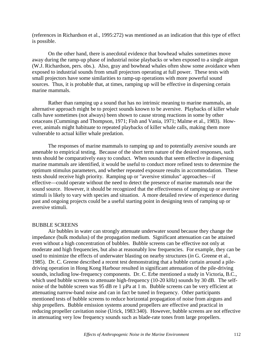(references in Richardson et al., 1995:272) was mentioned as an indication that this type of effect is possible.

On the other hand, there is anecdotal evidence that bowhead whales sometimes move away during the ramp-up phase of industrial noise playbacks or when exposed to a single airgun (W.J. Richardson, pers. obs.). Also, gray and bowhead whales often show some avoidance when exposed to industrial sounds from small projectors operating at full power. These tests with small projectors have some similarities to ramp-up operations with more powerful sound sources. Thus, it is probable that, at times, ramping up will be effective in dispersing certain marine mammals.

Rather than ramping up a sound that has no intrinsic meaning to marine mammals, an alternative approach might be to project sounds known to be aversive. Playbacks of killer whale calls have sometimes (not always) been shown to cause strong reactions in some by other cetaceans (Cummings and Thompson, 1971; Fish and Vania, 1971; Malme et al., 1983). However, animals might habituate to repeated playbacks of killer whale calls, making them more vulnerable to actual killer whale predation.

The responses of marine mammals to ramping up and to potentially aversive sounds are amenable to empirical testing. Because of the short term nature of the desired responses, such tests should be comparatively easy to conduct. When sounds that seem effective in dispersing marine mammals are identified, it would be useful to conduct more refined tests to determine the optimum stimulus parameters, and whether repeated exposure results in accommodation. These tests should receive high priority. Ramping up or "aversive stimulus" approaches—if effective—could operate without the need to detect the presence of marine mammals near the sound source. However, it should be recognized that the effectiveness of ramping up or aversive stimuli is likely to vary with species and situation. A more detailed review of experience during past and ongoing projects could be a useful starting point in designing tests of ramping up or aversive stimuli.

#### BUBBLE SCREENS

Air bubbles in water can strongly attenuate underwater sound because they change the impedance (bulk modulus) of the propagation medium. Significant attenuation can be attained even without a high concentration of bubbles. Bubble screens can be effective not only at moderate and high frequencies, but also at reasonably low frequencies. For example, they can be used to minimize the effects of underwater blasting on nearby structures (*in* G. Greene et al., 1985). Dr. C. Greene described a recent test demonstrating that a bubble curtain around a piledriving operation in Hong Kong Harbour resulted in significant attenuation of the pile-driving sounds, including low-frequency components. Dr. C. Erbe mentioned a study in Victoria, B.C., which used bubble screens to attenuate high-frequency (10-20 kHz) sounds by 30 dB. The selfnoise of the bubble screen was 95 dB re 1 µPa at 1 m. Bubble screens can be very efficient at attenuating narrow-band noise and can in fact be tuned in frequency. Other participants mentioned tests of bubble screens to reduce horizontal propagation of noise from airguns and ship propellers. Bubble emission systems around propellers are effective and practical in reducing propeller cavitation noise (Urick, 1983:340). However, bubble screens are not effective in attenuating very low frequency sounds such as blade-rate tones from large propellers.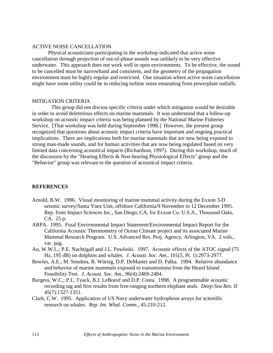### ACTIVE NOISE CANCELLATION

Physical acousticians participating in the workshop indicated that active noise cancellation through projection of out-of-phase sounds was unlikely to be very effective underwater. This approach does not work well in open environments. To be effective, the sound to be cancelled must be narrowband and consistent, and the geometry of the propagation environment must be highly regular and restricted. One situation where active noise cancellation might have some utility could be in reducing turbine noise emanating from powerplant outfalls.

### MITIGATION CRITERIA

This group did not discuss specific criteria under which mitigation would be desirable in order to avoid deleterious effects on marine mammals. It was understood that a follow-up workshop on acoustic impact criteria was being planned by the National Marine Fisheries Service. [That workshop was held during September 1998.] However, the present group recognized that questions about acoustic impact criteria have important and ongoing practical implications. There are implications both for marine mammals that are now being exposed to strong man-made sounds, and for human activities that are now being regulated based on very limited data concerning acoustical impacts (Richardson, 1997). During this workshop, much of the discussion by the "Hearing Effects & Non-hearing Physiological Effects" group and the "Behavior" group was relevant to the question of acoustical impact criteria.

## **REFERENCES**

- Arnold, B.W. 1996. Visual monitoring of marine mammal activity during the Exxon 3-D seismic survey/Santa Ynez Unit, offshore California/9 November to 12 December 1995. Rep. from Impact Sciences Inc., San Diego, CA, for Exxon Co. U.S.A., Thousand Oaks, CA. 25 p.
- ARPA. 1995. Final Environmental Impact Statement/Environmental Impact Report for the California Acoustic Thermometry of Ocean Climate project and its associated Marine Mammal Research Program. U.S. Advanced Res. Proj. Agency, Arlington, VA. 2 vols., var. pag.
- Au, W.W.L.; P.E. Nachtigall and J.L. Pawloski. 1997. Acoustic effects of the ATOC signal (75 Hz, 195 dB) on dolphins and whales. *J. Acoust. Soc. Am.,* 101(5, Pt. 1):2973-2977.
- Bowles, A.E.; M. Smultea, B. Würsig, D.P. DeMaster and D. Palka. 1994. Relative abundance and behavior of marine mammals exposed to transmissions from the Heard Island Feasibility Test. *J. Acoust. Soc. Am.,* 96(4):2469-2484.
- Burgess, W.C.; P.L. Tyack, B.J. LeBoeuf and D.P. Costa. 1998. A programmable acoustic recording tag and first results from free-ranging northern elephant seals. *Deep-Sea Res. II* 45(7):1327-1351.
- Clark, C.W. 1995. Application of US Navy underwater hydrophone arrays for scientific research on whales. *Rep. Int. Whal. Comm.,* 45:210-212.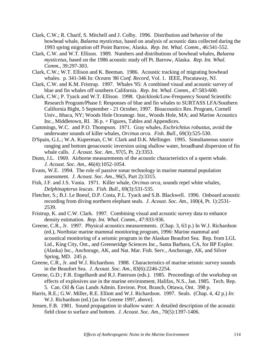- Clark, C.W.; R. Charif, S. Mitchell and J. Colby. 1996. Distribution and behavior of the bowhead whale, *Balaena mysticetus*, based on analysis of acoustic data collected during the 1993 spring migration off Point Barrow, Alaska. *Rep. Int. Whal. Comm.,* 46:541-552.
- Clark, C.W. and W.T. Ellison. 1989. Numbers and distributions of bowhead whales, *Balaena mysticetus*, based on the 1986 acoustic study off Pt. Barrow, Alaska. *Rep. Int. Whal. Comm.,* 39:297-303.
- Clark, C.W.; W.T. Ellison and K. Beeman. 1986. Acoustic tracking of migrating bowhead whales. p. 341-346 In: *Oceans '86 Conf. Record*, Vol. 1. IEEE, Piscataway, NJ.
- Clark, C.W. and K.M. Fristrup. 1997. Whales '95: A combined visual and acoustic survey of blue and fin whales off southern California. *Rep. Int. Whal. Comm.,* 47:583-600.
- Clark, C.W.; P. Tyack and W.T. Ellison. 1998. Quicklook/Low-Frequency Sound Scientific Research Program/Phase I: Responses of blue and fin whales to SURTASS LFA/Southern California Bight, 5 September - 21 October, 1997. Bioacoustics Res. Program, Cornell Univ., Ithaca, NY; Woods Hole Oceanogr. Inst., Woods Hole, MA; and Marine Acoustics Inc., Middletown, RI. 36 p. + Figures, Tables and Appendices.
- Cummings, W.C. and P.O. Thompson. 1971. Gray whales, *Eschrichtius robustus*, avoid the underwater sounds of killer whales, *Orcinus orca*. *Fish. Bull*., 69(3):525-530.
- D'Spain, G.L.; W.A. Kuperman, C.W. Clark and D.K. Mellinger. 1995. Simultaneous source ranging and bottom geoacoustic inversion using shallow water, broadband dispersion of fin whale calls. *J. Acoust. Soc. Am.,* 97(5, Pt. 2):3353.
- Dunn, J.L. 1969. Airborne measurements of the acoustic characteristics of a sperm whale. *J. Acoust. Soc. Am.,* 46(4):1052-1054.
- Evans, W.E. 1994. The role of passive sonar technology in marine mammal population assessment. *J. Acoust. Soc. Am.,* 96(5, Part 2):3315.
- Fish, J.F. and J.S. Vania. 1971. Killer whale, *Orcinus orca*, sounds repel white whales, *Delphinapterus leucas*. *Fish. Bull*., 69(3):531-535.
- Fletcher, S.; B.J. Le Boeuf, D.P. Costa, P.L. Tyack and S.B. Blackwell. 1996. Onboard acoustic recording from diving northern elephant seals. *J. Acoust. Soc. Am.,* 100(4, Pt. 1):2531- 2539.
- Fristrup, K. and C.W. Clark. 1997. Combining visual and acoustic survey data to enhance density estimation. *Rep. Int. Whal. Comm*., 47:933-936.
- Greene, C.R., Jr. 1997. Physical acoustics measurements. (Chap. 3, 63 p.) In W.J. Richardson (ed.), Northstar marine mammal monitoring program, 1996: Marine mammal and acoustical monitoring of a seismic program in the Alaskan Beaufort Sea. Rep. from LGL Ltd., King City, Ont., and Greeneridge Sciences Inc., Santa Barbara, CA, for BP Explor. (Alaska) Inc., Anchorage, AK, and Nat. Mar. Fish. Serv., Anchorage, AK, and Silver Spring, MD. 245 p.
- Greene, C.R., Jr. and W.J. Richardson. 1988. Characteristics of marine seismic survey sounds in the Beaufort Sea. *J. Acoust. Soc. Am.,* 83(6):2246-2254.
- Greene, G.D.; F.R. Engelhardt and R.J. Paterson (eds.). 1985. Proceedings of the workshop on effects of explosives use in the marine environment, Halifax, N.S., Jan. 1985. Tech. Rep. 5. Can. Oil & Gas Lands Admin. Environ. Prot. Branch, Ottawa, Ont. 398 p.
- Harris, R.E.; G.W. Miller, R.E. Elliott and W.J. Richardson. 1997. Seals. (Chap. 4, 42 p.) *In*: W.J. Richardson (ed.) [as for Greene 1997, above].
- Jensen, F.B. 1981. Sound propagation in shallow water: A detailed description of the acoustic field close to surface and bottom. *J. Acoust. Soc. Am.,* 70(5):1397-1406.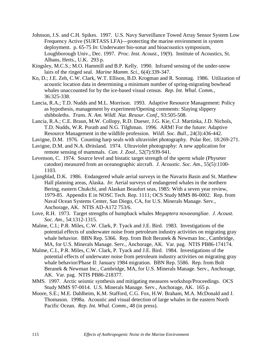- Johnson, J.S. and C.H. Spikes. 1997. U.S. Navy Surveillance Towed Array Sensor System Low Frequency Active (SURTASS LFA)—protecting the marine environment in system deployment. p. 65-75 *In*: Underwater bio-sonar and bioacoustics symposium, Loughborough Univ., Dec. 1997. *Proc. Inst. Acoust.,* 19(9). Institute of Acoustics, St. Albans, Herts., U.K. 293 p.
- Kingsley, M.C.S.; M.O. Hammill and B.P. Kelly. 1990. Infrared sensing of the under-snow lairs of the ringed seal. *Marine Mamm. Sci.,* 6(4):339-347.
- Ko, D.; J.E. Zeh, C.W. Clark, W.T. Ellison, B.D. Krogman and R. Sonntag. 1986. Utilization of acoustic location data in determining a minimum number of spring-migrating bowhead whales unaccounted for by the ice-based visual census. *Rep. Int. Whal. Comm.,* 36:325-338.
- Lancia, R.A.; T.D. Nudds and M.L. Morrison. 1993. Adaptive Resource Management: Policy as hypothesis, management by experiment/Opening comments: Slaying slippery shibboleths. *Trans. N. Am. Wildl. Nat. Resour. Conf.,* 93:505-508.
- Lancia, R.A.; C.E. Braun, M.W. Collopy, R.D. Dueser, J.G. Kie, C.J. Martinka, J.D. Nichols, T.D. Nudds, W.R. Porath and N.G. Tilghman. 1996. ARM! For the future: Adaptive Resource Management in the wildlife profession. *Wildl. Soc. Bull.,* 24(3):436-442.
- Lavigne, D.M. 1976. Counting harp seals with ultraviolet photography. Polar Rec. 18:269-271.
- Lavigne, D.M. and N.A. Øritsland. 1974. Ultraviolet photography: A new application for remote sensing of mammals. *Can. J. Zool.,* 52(7):939-941.
- Levenson, C. 1974. Source level and bistatic target strength of the sperm whale (Physeter catodon) measured from an oceanographic aircraft. *J. Acoustic. Soc. Am.,* 55(5):1100- 1103.
- Ljungblad, D.K. 1986. Endangered whale aerial surveys in the Navarin Basin and St. Matthew Hall planning areas, Alaska. *In*: Aerial surveys of endangered whales in the northern Bering, eastern Chukchi, and Alaskan Beaufort seas, 1985: With a seven year review, 1979-85. Appendix E in NOSC Tech. Rep. 1111; OCS Study MMS 86-0002. Rep. from Naval Ocean Systems Center, San Diego, CA, for U.S. Minerals Manage. Serv., Anchorage, AK. NTIS AD-A172 753/6.
- Love, R.H. 1973. Target strengths of humpback whales *Megaptera novaeangliae*. *J. Acoust. Soc. Am.,* 54:1312-1315.
- Malme, C.I.; P.R. Miles, C.W. Clark, P. Tyack and J.E. Bird. 1983. Investigations of the potential effects of underwater noise from petroleum industry activities on migrating gray whale behavior. BBN Rep. 5366. Rep. from Bolt Beranek & Newman Inc., Cambridge, MA, for U.S. Minerals Manage. Serv., Anchorage, AK. Var. pag. NTIS PB86-174174.
- Malme, C.I., P.R. Miles, C.W. Clark, P. Tyack and J.E. Bird. 1984. Investigations of the potential effects of underwater noise from petroleum industry activities on migrating gray whale behavior/Phase II: January 1984 migration. BBN Rep. 5586. Rep. from Bolt Beranek & Newman Inc., Cambridge, MA, for U.S. Minerals Manage. Serv., Anchorage, AK. Var. pag. NTIS PB86-218377.
- MMS. 1997. Arctic seismic synthesis and mitigating measures workshop/Proceedings. OCS Study MMS 97-0014. U.S. Minerals Manage. Serv., Anchorage, AK. 165 p.
- Moore, S.E.; M.E. Dahlheim, K.M. Stafford, C.G. Fox, H.W. Braham, M.A. McDonald and J. Thomason. 1998a. Acoustic and visual detection of large whales in the eastern North Pacific Ocean. *Rep. Int. Whal. Comm.,* 48 (in press).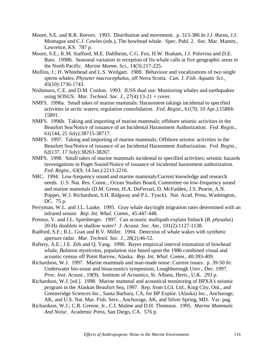- Moore, S.E. and R.R. Reeves. 1993. Distribution and movement. p. 313-386 In J.J. Burns, J.J. Montague and C.J. Cowles (eds.), The bowhead whale. Spec. Publ. 2. Soc. Mar. Mamm., Lawrence, KS. 787 p.
- Moore, S.E.; K.M. Stafford, M.E. Dahlheim, C.G. Fox, H.W. Braham, J.J. Polovina and D.E. Bain. 1998b. Seasonal variation in reception of fin whale calls at five geographic areas in the North Pacific. *Marine Mamm. Sci.,* 14(3):217-225.
- Mullins, J.; H. Whitehead and L.S. Weilgart. 1988. Behaviour and vocalizations of two single sperm whales, *Physeter macrocephalus*, off Nova Scotia. *Can. J. Fish. Aquatic Sci.,* 45(10):1736-1743.
- Nishimura, C.E. and D.M. Conlon. 1993. IUSS dual use: Monitoring whales and earthquakes using SOSUS. *Mar. Technol. Soc. J.,* 27(4):13-21 + cover.
- NMFS. 1996a. Small takes of marine mammals: Harassment takings incidental to specified activities in arctic waters; regulation consolidation. *Fed. Regist*., 61(70, 10 Apr.):15884- 15891.
- NMFS. 1996b. Taking and importing of marine mammals; offshore seismic activities in the Beaufort Sea/Notice of issuance of an Incidental Harassment Authorization. *Fed. Regist*., 61(144, 25 July):38715-38717.
- NMFS. 1997. Taking and importing of marine mammals; Offshore seismic activities in the Beaufort Sea/Notice of issuance of an Incidental Harassment Authorization. *Fed. Regist.,* 62(137, 17 July):38263-38267.
- NMFS. 1998. Small takes of marine mammals incidental to specified activities; seismic hazards investigations in Puget Sound/Notice of issuance of incidental harassment authorization. *Fed. Regist.,* 63(9, 14 Jan.):2213-2216.
- NRC. 1994. Low-frequency sound and marine mammals/Current knowledge and research needs. U.S. Nat. Res. Counc., Ocean Studies Board, Committee on low-frequency sound and marine mammals (D.M. Green, H.A. DeFerrari, D. McFadden, J.S. Pearse, A.N. Popper, W.J. Richardson, S.H. Ridgway and P.L. Tyack). Nat. Acad. Press, Washington, DC. 75 p.
- Perryman, W.L. and J.L. Laake. 1995. Gray whale day/night migration rates determined with an infrared sensor. *Rep. Int. Whal. Comm.,* 45:447-448.
- Premus, V. and J.L. Spiesberger. 1997. Can acoustic multipath explain finback (*B. physalus*) 20-Hz doublets in shallow water? *J. Acoust. Soc. Am.,* 101(2):1127-1138.
- Radford, S.F.; R.L. Gran and R.V. Miller. 1994. Detection of whale wakes with synthetic aperture radar. *Mar. Technol. Soc. J.,* 28(2):46-52.
- Raftery, A.E.; J.E. Zeh and Q. Yang. 1990. Bayes empirical interval estimation of bowhead whale, *Balaena mysticetus*, population size based upon the 1986 combined visual and acoustic census off Point Barrow, Alaska. *Rep. Int. Whal. Comm.,* 40:393-409.
- Richardson, W.J. 1997. Marine mammals and man-made noise: Current issues. p. 39-50 *In*: Underwater bio-sonar and bioacoustics symposium, Loughborough Univ., Dec. 1997. *Proc. Inst. Acoust.,* 19(9). Institute of Acoustics, St. Albans, Herts., U.K. 293 p.
- Richardson, W.J. [ed.]. 1998. Marine mammal and acoustical monitoring of BPXA's seismic program in the Alaskan Beaufort Sea, 1997. Rep. from LGL Ltd., King City, Ont., and Greeneridge Sciences Inc., Santa Barbara, CA, for BP Explor. (Alaska) Inc., Anchorage, AK, and U.S. Nat. Mar. Fish. Serv., Anchorage, AK, and Silver Spring, MD. Var. pag.
- Richardson, W.J.; C.R. Greene, Jr., C.I. Malme and D.H. Thomson. 1995. *Marine Mammals And Noise*. Academic Press, San Diego, CA. 576 p.